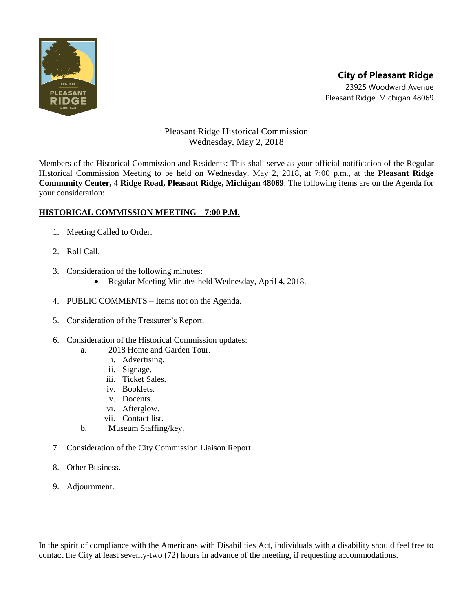

## Pleasant Ridge Historical Commission Wednesday, May 2, 2018

Members of the Historical Commission and Residents: This shall serve as your official notification of the Regular Historical Commission Meeting to be held on Wednesday, May 2, 2018, at 7:00 p.m., at the **Pleasant Ridge Community Center, 4 Ridge Road, Pleasant Ridge, Michigan 48069**. The following items are on the Agenda for your consideration:

## **HISTORICAL COMMISSION MEETING – 7:00 P.M.**

- 1. Meeting Called to Order.
- 2. Roll Call.
- 3. Consideration of the following minutes:
	- Regular Meeting Minutes held Wednesday, April 4, 2018.
- 4. PUBLIC COMMENTS Items not on the Agenda.
- 5. Consideration of the Treasurer's Report.
- 6. Consideration of the Historical Commission updates:
	- a. 2018 Home and Garden Tour.
		- i. Advertising.
		- ii. Signage.
		- iii. Ticket Sales.
		- iv. Booklets.
		- v. Docents.
		- vi. Afterglow.
		- vii. Contact list.
	- b. Museum Staffing/key.
- 7. Consideration of the City Commission Liaison Report.
- 8. Other Business.
- 9. Adjournment.

In the spirit of compliance with the Americans with Disabilities Act, individuals with a disability should feel free to contact the City at least seventy-two (72) hours in advance of the meeting, if requesting accommodations.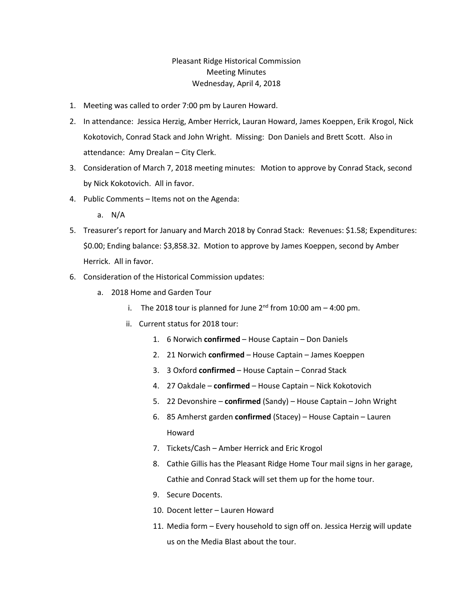## Pleasant Ridge Historical Commission Meeting Minutes Wednesday, April 4, 2018

- 1. Meeting was called to order 7:00 pm by Lauren Howard.
- 2. In attendance: Jessica Herzig, Amber Herrick, Lauran Howard, James Koeppen, Erik Krogol, Nick Kokotovich, Conrad Stack and John Wright. Missing: Don Daniels and Brett Scott. Also in attendance: Amy Drealan – City Clerk.
- 3. Consideration of March 7, 2018 meeting minutes: Motion to approve by Conrad Stack, second by Nick Kokotovich. All in favor.
- 4. Public Comments Items not on the Agenda:
	- a. N/A
- 5. Treasurer's report for January and March 2018 by Conrad Stack: Revenues: \$1.58; Expenditures: \$0.00; Ending balance: \$3,858.32. Motion to approve by James Koeppen, second by Amber Herrick. All in favor.
- 6. Consideration of the Historical Commission updates:
	- a. 2018 Home and Garden Tour
		- i. The 2018 tour is planned for June  $2<sup>nd</sup>$  from 10:00 am  $-$  4:00 pm.
		- ii. Current status for 2018 tour:
			- 1. 6 Norwich **confirmed** House Captain Don Daniels
			- 2. 21 Norwich **confirmed** House Captain James Koeppen
			- 3. 3 Oxford **confirmed** House Captain Conrad Stack
			- 4. 27 Oakdale **confirmed** House Captain Nick Kokotovich
			- 5. 22 Devonshire **confirmed** (Sandy) House Captain John Wright
			- 6. 85 Amherst garden **confirmed** (Stacey) House Captain Lauren Howard
			- 7. Tickets/Cash Amber Herrick and Eric Krogol
			- 8. Cathie Gillis has the Pleasant Ridge Home Tour mail signs in her garage, Cathie and Conrad Stack will set them up for the home tour.
			- 9. Secure Docents.
			- 10. Docent letter Lauren Howard
			- 11. Media form Every household to sign off on. Jessica Herzig will update us on the Media Blast about the tour.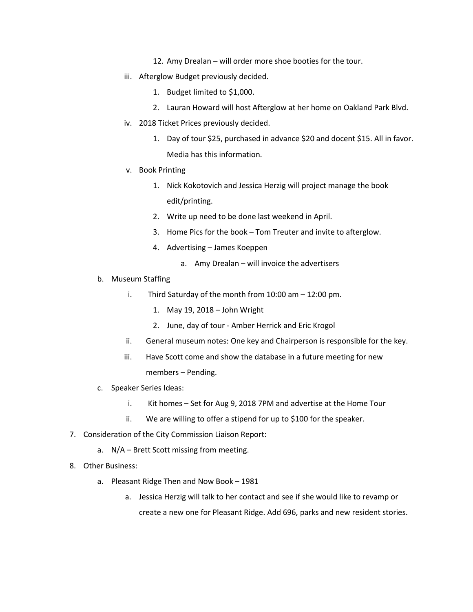- 12. Amy Drealan will order more shoe booties for the tour.
- iii. Afterglow Budget previously decided.
	- 1. Budget limited to \$1,000.
	- 2. Lauran Howard will host Afterglow at her home on Oakland Park Blvd.
- iv. 2018 Ticket Prices previously decided.
	- 1. Day of tour \$25, purchased in advance \$20 and docent \$15. All in favor. Media has this information.
- v. Book Printing
	- 1. Nick Kokotovich and Jessica Herzig will project manage the book edit/printing.
	- 2. Write up need to be done last weekend in April.
	- 3. Home Pics for the book Tom Treuter and invite to afterglow.
	- 4. Advertising James Koeppen
		- a. Amy Drealan will invoice the advertisers
- b. Museum Staffing
	- i. Third Saturday of the month from 10:00 am 12:00 pm.
		- 1. May 19, 2018 John Wright
		- 2. June, day of tour Amber Herrick and Eric Krogol
	- ii. General museum notes: One key and Chairperson is responsible for the key.
	- iii. Have Scott come and show the database in a future meeting for new members – Pending.
- c. Speaker Series Ideas:
	- i. Kit homes Set for Aug 9, 2018 7PM and advertise at the Home Tour
	- ii. We are willing to offer a stipend for up to \$100 for the speaker.
- 7. Consideration of the City Commission Liaison Report:
	- a. N/A Brett Scott missing from meeting.
- 8. Other Business:
	- a. Pleasant Ridge Then and Now Book 1981
		- a. Jessica Herzig will talk to her contact and see if she would like to revamp or create a new one for Pleasant Ridge. Add 696, parks and new resident stories.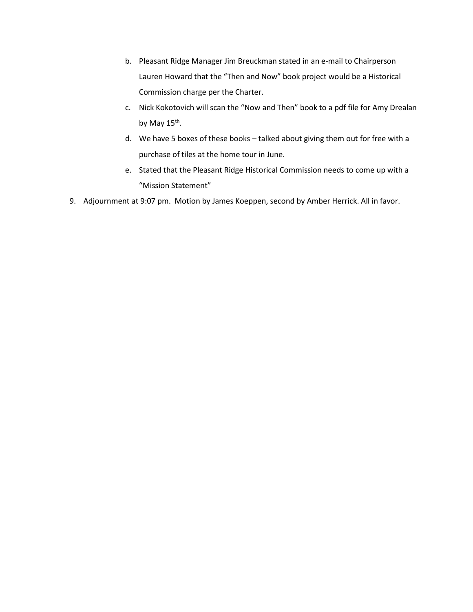- b. Pleasant Ridge Manager Jim Breuckman stated in an e-mail to Chairperson Lauren Howard that the "Then and Now" book project would be a Historical Commission charge per the Charter.
- c. Nick Kokotovich will scan the "Now and Then" book to a pdf file for Amy Drealan by May 15<sup>th</sup>.
- d. We have 5 boxes of these books talked about giving them out for free with a purchase of tiles at the home tour in June.
- e. Stated that the Pleasant Ridge Historical Commission needs to come up with a "Mission Statement"
- 9. Adjournment at 9:07 pm. Motion by James Koeppen, second by Amber Herrick. All in favor.